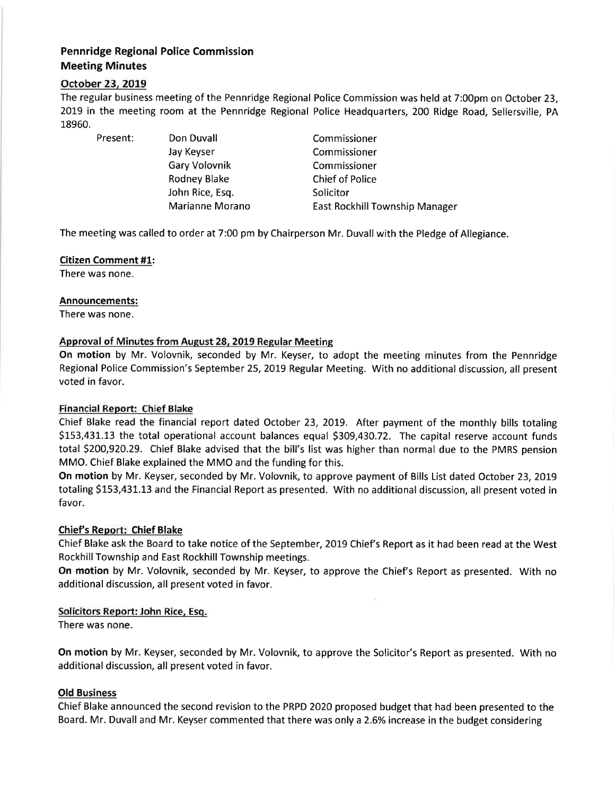# Pennridge Regional Police Commission Meeting Minutes

# October 23, 2019

The regular business meeting of the Pennridge Regional Police Commission was held at 7:O0pm on October 23, 2019 in the meeting room at the Pennridge Regional Police Headquarters, 200 Ridge Road, Sellersville, PA 18960.

Present: Don Duvall

Jay Keyser Gary Volovnik Rodney Blake John Rice, Esq. Marianne Morano

Commissioner Commissioner Commissioner Chief of Police Solicitor East Rockhill Township Manager

The meeting was called to order at 7:00 pm by Chairperson Mr. Duvall with the Pledge of Allegiance.

### Citizen Comment #1:

There was none.

### Announcements:

There was none.

# Approval of Minutes from August 28, 2019 Regular Meeting

On motion by Mr. Volovnik, seconded by Mr. Keyser, to adopt the meeting minutes from the Pennridge Regional Police Commission's September 25,2019 Regular Meeting. With no additional discussion, all present voted in favor.

# Financial Report: Chief Blake

Chief Blake read the financial report dated October 23, 2019. After payment of the monthly bills totaling 5153,431.13 the total operational account balances equal \$309 ,430.72. The capital reserve account funds total 5200,920.29. Chief Blake advised that the bill's list was higher than normal due to the PMRS pension MMO. Chief Blake explained the MMO and the funding for this.

On motion by Mr. Keyser, seconded by Mr. Volovnik, to approve payment of Bills List dated October 23, 2019 totaling S153,431.13 and the Financial Report as presented. With no additional discussion, all present voted in favor.

#### Chief's Report: Chief Blake

Chief Blake ask the Board to take notice of the September, 2019 Chief's Report as it had been read at the West Rockhill Township and East Rockhill Township meetings.

On motion by Mr. Volovnik, seconded by Mr. Keyser, to approve the Chief's Report as presented. With no additional discussion, all present voted in favor.

# Solicitors Report: John Rice, Esq.

There was none.

On motion by Mr. Keyser, seconded by Mr. Volovnik, to approve the Solicitor's Report as presented. With no additional discussion, all present voted in favor.

# Old Business

Chief Blake announced the second revision to the PRPD 2020 proposed budget that had been presented to the Board. Mr. Duvall and Mr. Keyser commented that there was only a2.6% increase in the budget considering